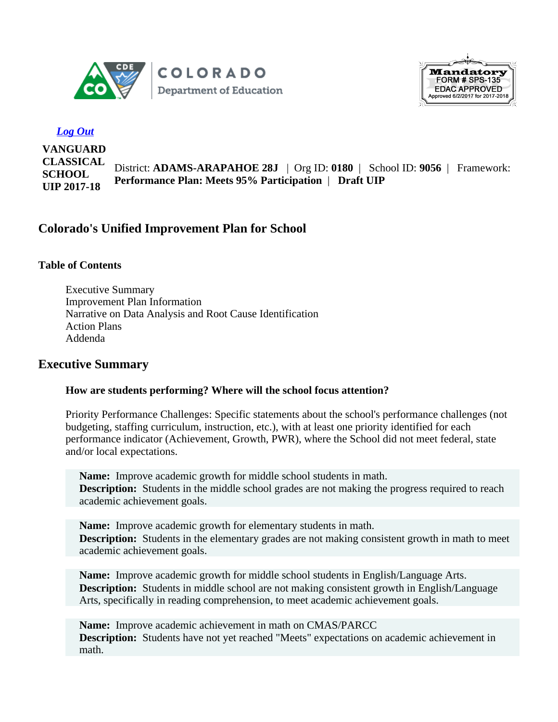



## *Log Out*

**VANGUARD CLASSICAL SCHOOL UIP 2017-18**

District: **ADAMS-ARAPAHOE 28J** | Org ID: **0180** | School ID: **9056** | Framework: **Performance Plan: Meets 95% Participation** | **Draft UIP**

# **Colorado's Unified Improvement Plan for School**

#### **Table of Contents**

Executive Summary Improvement Plan Information Narrative on Data Analysis and Root Cause Identification Action Plans Addenda

## **Executive Summary**

#### **How are students performing? Where will the school focus attention?**

Priority Performance Challenges: Specific statements about the school's performance challenges (not budgeting, staffing curriculum, instruction, etc.), with at least one priority identified for each performance indicator (Achievement, Growth, PWR), where the School did not meet federal, state and/or local expectations.

**Name:** Improve academic growth for middle school students in math. **Description:** Students in the middle school grades are not making the progress required to reach academic achievement goals.

**Name:** Improve academic growth for elementary students in math. **Description:** Students in the elementary grades are not making consistent growth in math to meet academic achievement goals.

**Name:** Improve academic growth for middle school students in English/Language Arts. **Description:** Students in middle school are not making consistent growth in English/Language Arts, specifically in reading comprehension, to meet academic achievement goals.

**Name:** Improve academic achievement in math on CMAS/PARCC **Description:** Students have not yet reached "Meets" expectations on academic achievement in math.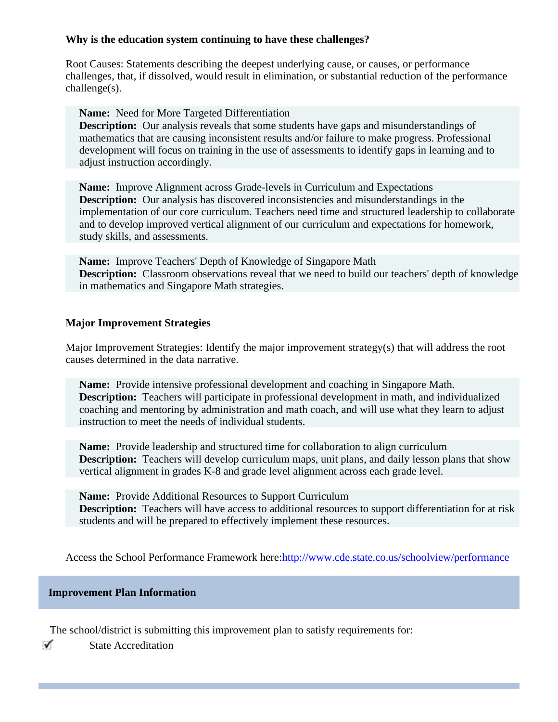## **Why is the education system continuing to have these challenges?**

Root Causes: Statements describing the deepest underlying cause, or causes, or performance challenges, that, if dissolved, would result in elimination, or substantial reduction of the performance challenge(s).

**Name:** Need for More Targeted Differentiation

**Description:** Our analysis reveals that some students have gaps and misunderstandings of mathematics that are causing inconsistent results and/or failure to make progress. Professional development will focus on training in the use of assessments to identify gaps in learning and to adjust instruction accordingly.

**Name:** Improve Alignment across Grade-levels in Curriculum and Expectations **Description:** Our analysis has discovered inconsistencies and misunderstandings in the implementation of our core curriculum. Teachers need time and structured leadership to collaborate and to develop improved vertical alignment of our curriculum and expectations for homework, study skills, and assessments.

**Name:** Improve Teachers' Depth of Knowledge of Singapore Math **Description:** Classroom observations reveal that we need to build our teachers' depth of knowledge in mathematics and Singapore Math strategies.

## **Major Improvement Strategies**

Major Improvement Strategies: Identify the major improvement strategy(s) that will address the root causes determined in the data narrative.

**Name:** Provide intensive professional development and coaching in Singapore Math. **Description:** Teachers will participate in professional development in math, and individualized coaching and mentoring by administration and math coach, and will use what they learn to adjust instruction to meet the needs of individual students.

**Name:** Provide leadership and structured time for collaboration to align curriculum **Description:** Teachers will develop curriculum maps, unit plans, and daily lesson plans that show vertical alignment in grades K-8 and grade level alignment across each grade level.

**Name:** Provide Additional Resources to Support Curriculum **Description:** Teachers will have access to additional resources to support differentiation for at risk students and will be prepared to effectively implement these resources.

Access the School Performance Framework here: <http://www.cde.state.co.us/schoolview/performance>

#### **Improvement Plan Information**

The school/district is submitting this improvement plan to satisfy requirements for:

✓ State Accreditation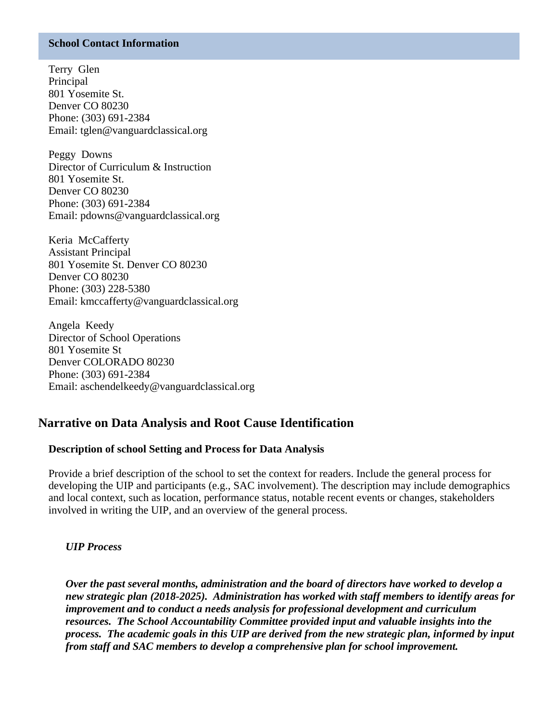#### **School Contact Information**

Terry Glen Principal 801 Yosemite St. Denver CO 80230 Phone: (303) 691-2384 Email: tglen@vanguardclassical.org

Peggy Downs Director of Curriculum & Instruction 801 Yosemite St. Denver CO 80230 Phone: (303) 691-2384 Email: pdowns@vanguardclassical.org

Keria McCafferty Assistant Principal 801 Yosemite St. Denver CO 80230 Denver CO 80230 Phone: (303) 228-5380 Email: kmccafferty@vanguardclassical.org

Angela Keedy Director of School Operations 801 Yosemite St Denver COLORADO 80230 Phone: (303) 691-2384 Email: aschendelkeedy@vanguardclassical.org

# **Narrative on Data Analysis and Root Cause Identification**

#### **Description of school Setting and Process for Data Analysis**

Provide a brief description of the school to set the context for readers. Include the general process for developing the UIP and participants (e.g., SAC involvement). The description may include demographics and local context, such as location, performance status, notable recent events or changes, stakeholders involved in writing the UIP, and an overview of the general process.

#### *UIP Process*

*Over the past several months, administration and the board of directors have worked to develop a new strategic plan (2018-2025). Administration has worked with staff members to identify areas for improvement and to conduct a needs analysis for professional development and curriculum resources. The School Accountability Committee provided input and valuable insights into the process. The academic goals in this UIP are derived from the new strategic plan, informed by input from staff and SAC members to develop a comprehensive plan for school improvement.*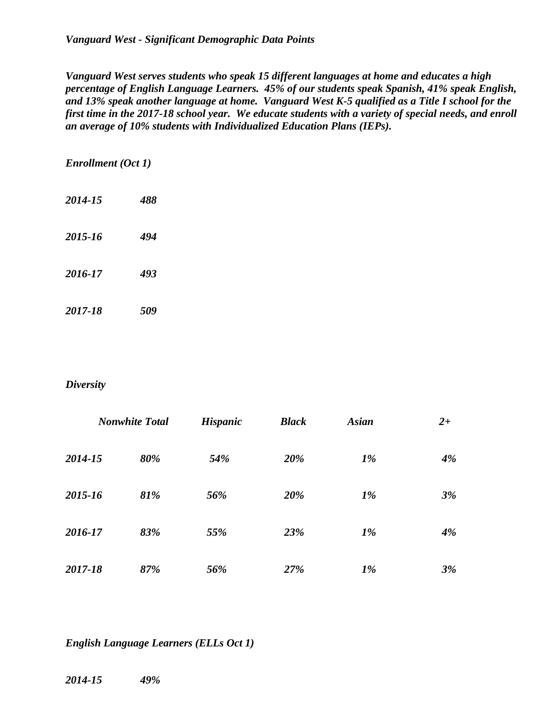*Vanguard West - Significant Demographic Data Points*

*Vanguard West serves students who speak 15 different languages at home and educates a high percentage of English Language Learners. 45% of our students speak Spanish, 41% speak English, and 13% speak another language at home. Vanguard West K-5 qualified as a Title I school for the first time in the 2017-18 school year. We educate students with a variety of special needs, and enroll an average of 10% students with Individualized Education Plans (IEPs).*

#### *Enrollment (Oct 1)*

- *2014-15 488*
- *2015-16 494*
- *2016-17 493*
- *2017-18 509*

#### *Diversity*

|         | <b>Nonwhite Total</b> | <b>Hispanic</b> | <b>Black</b> | <b>Asian</b> | $2+$ |
|---------|-----------------------|-----------------|--------------|--------------|------|
| 2014-15 | 80%                   | 54%             | 20%          | $1\%$        | 4%   |
| 2015-16 | 81%                   | 56%             | 20%          | $1\%$        | 3%   |
| 2016-17 | 83%                   | 55%             | 23%          | $1\%$        | 4%   |
| 2017-18 | 87%                   | 56%             | 27%          | $1\%$        | 3%   |

*English Language Learners (ELLs Oct 1)*

*2014-15 49%*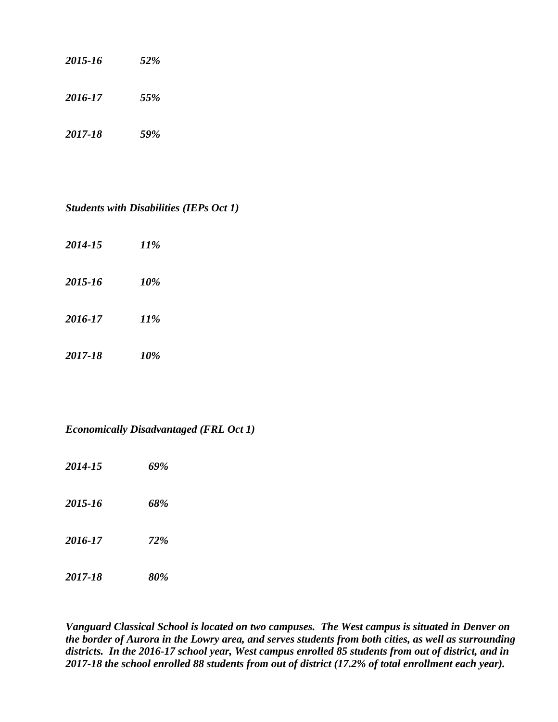| 2015-16 | 52% |
|---------|-----|
| 2016-17 | 55% |
| 2017-18 | 59% |

## *Students with Disabilities (IEPs Oct 1)*

| 2014-15 | 11% |
|---------|-----|
| 2015-16 | 10% |
| 2016-17 | 11% |
| 2017-18 | 10% |

## *Economically Disadvantaged (FRL Oct 1)*

- *2014-15 69%*
- *2015-16 68%*
- *2016-17 72%*
- *2017-18 80%*

*Vanguard Classical School is located on two campuses. The West campus is situated in Denver on the border of Aurora in the Lowry area, and serves students from both cities, as well as surrounding districts. In the 2016-17 school year, West campus enrolled 85 students from out of district, and in 2017-18 the school enrolled 88 students from out of district (17.2% of total enrollment each year).*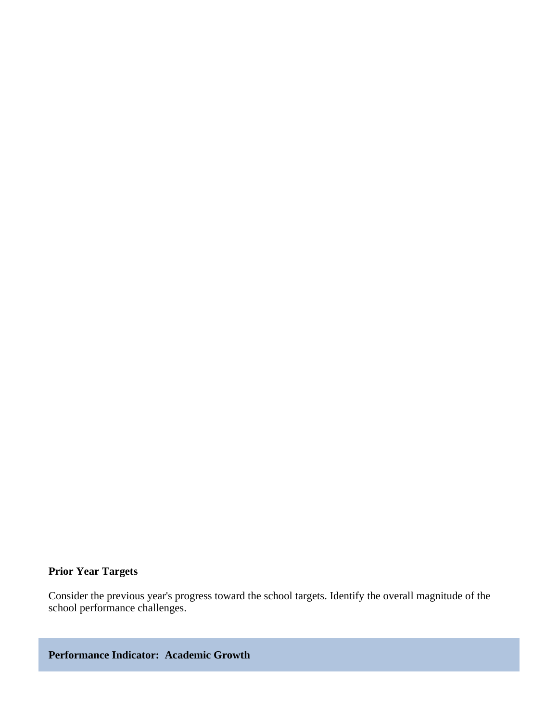## **Prior Year Targets**

Consider the previous year's progress toward the school targets. Identify the overall magnitude of the school performance challenges.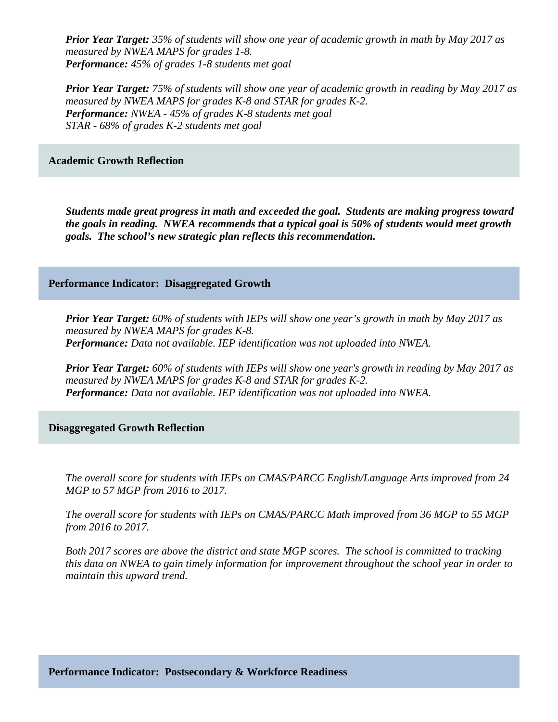*Prior Year Target: 35% of students will show one year of academic growth in math by May 2017 as measured by NWEA MAPS for grades 1-8. Performance: 45% of grades 1-8 students met goal*

*Prior Year Target: 75% of students will show one year of academic growth in reading by May 2017 as measured by NWEA MAPS for grades K-8 and STAR for grades K-2. Performance: NWEA - 45% of grades K-8 students met goal STAR - 68% of grades K-2 students met goal*

#### **Academic Growth Reflection**

*Students made great progress in math and exceeded the goal. Students are making progress toward the goals in reading. NWEA recommends that a typical goal is 50% of students would meet growth goals. The school's new strategic plan reflects this recommendation.* 

#### **Performance Indicator: Disaggregated Growth**

*Prior Year Target: 60% of students with IEPs will show one year's growth in math by May 2017 as measured by NWEA MAPS for grades K-8. Performance: Data not available. IEP identification was not uploaded into NWEA.*

*Prior Year Target: 60% of students with IEPs will show one year's growth in reading by May 2017 as measured by NWEA MAPS for grades K-8 and STAR for grades K-2. Performance: Data not available. IEP identification was not uploaded into NWEA.*

**Disaggregated Growth Reflection**

*The overall score for students with IEPs on CMAS/PARCC English/Language Arts improved from 24 MGP to 57 MGP from 2016 to 2017.* 

*The overall score for students with IEPs on CMAS/PARCC Math improved from 36 MGP to 55 MGP from 2016 to 2017.* 

*Both 2017 scores are above the district and state MGP scores. The school is committed to tracking this data on NWEA to gain timely information for improvement throughout the school year in order to maintain this upward trend.*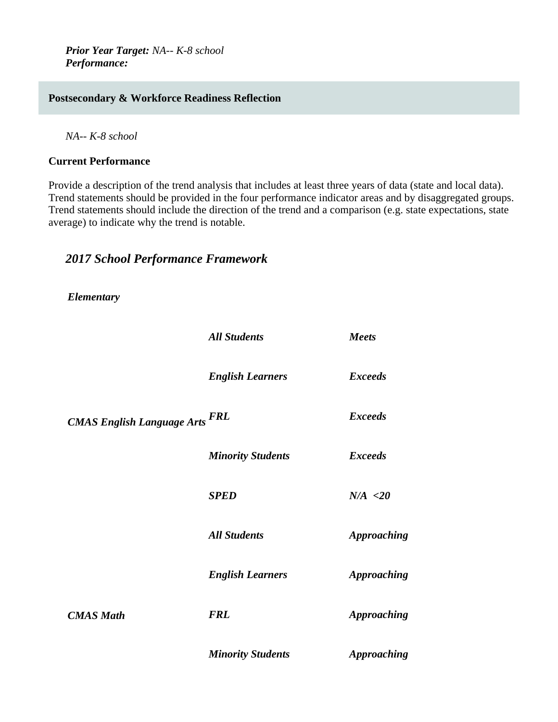*Prior Year Target: NA-- K-8 school Performance:* 

## **Postsecondary & Workforce Readiness Reflection**

*NA-- K-8 school*

#### **Current Performance**

Provide a description of the trend analysis that includes at least three years of data (state and local data). Trend statements should be provided in the four performance indicator areas and by disaggregated groups. Trend statements should include the direction of the trend and a comparison (e.g. state expectations, state average) to indicate why the trend is notable.

# *2017 School Performance Framework*

*Elementary*

|                                       | <b>All Students</b>      | <b>Meets</b>       |
|---------------------------------------|--------------------------|--------------------|
|                                       | <b>English Learners</b>  | <b>Exceeds</b>     |
| <b>CMAS English Language Arts FRL</b> |                          | <b>Exceeds</b>     |
|                                       | <b>Minority Students</b> | <b>Exceeds</b>     |
|                                       | <b>SPED</b>              | N/A < 20           |
|                                       | <b>All Students</b>      | <b>Approaching</b> |
|                                       | <b>English Learners</b>  | <b>Approaching</b> |
| <b>CMAS</b> Math                      | <b>FRL</b>               | <b>Approaching</b> |
|                                       | <b>Minority Students</b> | <b>Approaching</b> |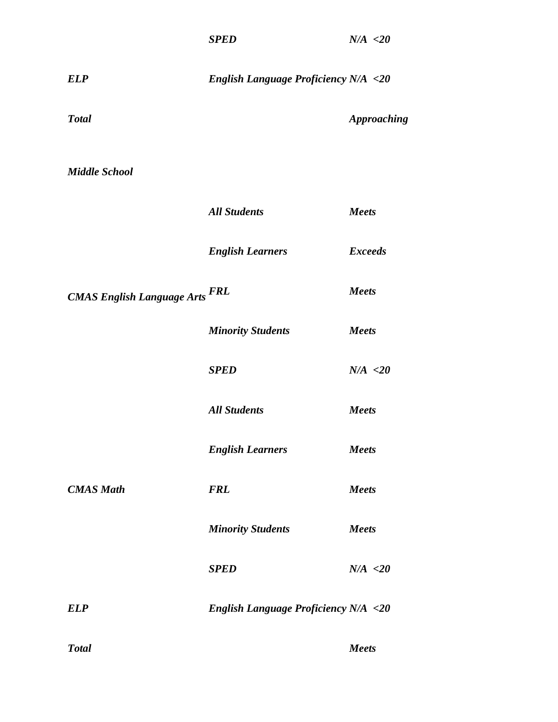| <b>ELP</b>                            | <b>English Language Proficiency N/A &lt;20</b> |                    |
|---------------------------------------|------------------------------------------------|--------------------|
| <b>Total</b>                          |                                                | <b>Approaching</b> |
| <b>Middle School</b>                  |                                                |                    |
|                                       | <b>All Students</b>                            | <b>Meets</b>       |
|                                       | <b>English Learners</b>                        | <b>Exceeds</b>     |
| <b>CMAS English Language Arts FRL</b> |                                                | <b>Meets</b>       |
|                                       | <b>Minority Students</b>                       | <b>Meets</b>       |
|                                       | <b>SPED</b>                                    | N/A < 20           |
|                                       | <b>All Students</b>                            | <b>Meets</b>       |
|                                       | <b>English Learners</b>                        | <b>Meets</b>       |
| <b>CMAS Math</b>                      | <b>FRL</b>                                     | <b>Meets</b>       |
|                                       | <b>Minority Students</b>                       | <b>Meets</b>       |
|                                       | <b>SPED</b>                                    | N/A < 20           |
| <b>ELP</b>                            | <b>English Language Proficiency N/A &lt;20</b> |                    |
| <b>Total</b>                          |                                                | Meets              |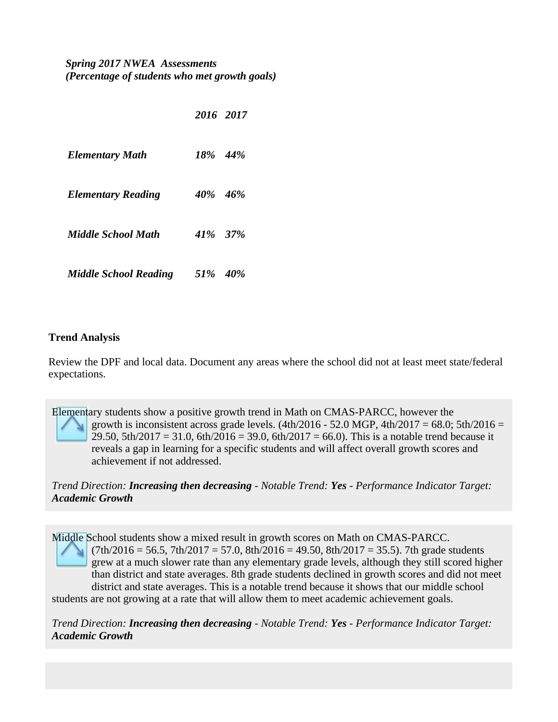# *Spring 2017 NWEA Assessments (Percentage of students who met growth goals)*

|                              | 2016 2017 |  |
|------------------------------|-----------|--|
| <b>Elementary Math</b>       | 18% 44%   |  |
| <b>Elementary Reading</b>    | 40\% 46\% |  |
| Middle School Math           | 41\% 37\% |  |
| <b>Middle School Reading</b> | 51\% 40\% |  |

## **Trend Analysis**

Review the DPF and local data. Document any areas where the school did not at least meet state/federal expectations.

Elementary students show a positive growth trend in Math on CMAS-PARCC, however the growth is inconsistent across grade levels.  $(4th/2016 - 52.0 \text{ MGP}, 4th/2017 = 68.0; 5th/2016 =$ 29.50, 5th/2017 = 31.0, 6th/2016 = 39.0, 6th/2017 = 66.0). This is a notable trend because it reveals a gap in learning for a specific students and will affect overall growth scores and achievement if not addressed.

*Trend Direction: Increasing then decreasing - Notable Trend: Yes - Performance Indicator Target: Academic Growth*

Middle School students show a mixed result in growth scores on Math on CMAS-PARCC.  $(7th/2016 = 56.5, 7th/2017 = 57.0, 8th/2016 = 49.50, 8th/2017 = 35.5)$ . 7th grade students grew at a much slower rate than any elementary grade levels, although they still scored higher than district and state averages. 8th grade students declined in growth scores and did not meet district and state averages. This is a notable trend because it shows that our middle school students are not growing at a rate that will allow them to meet academic achievement goals.

*Trend Direction: Increasing then decreasing - Notable Trend: Yes - Performance Indicator Target: Academic Growth*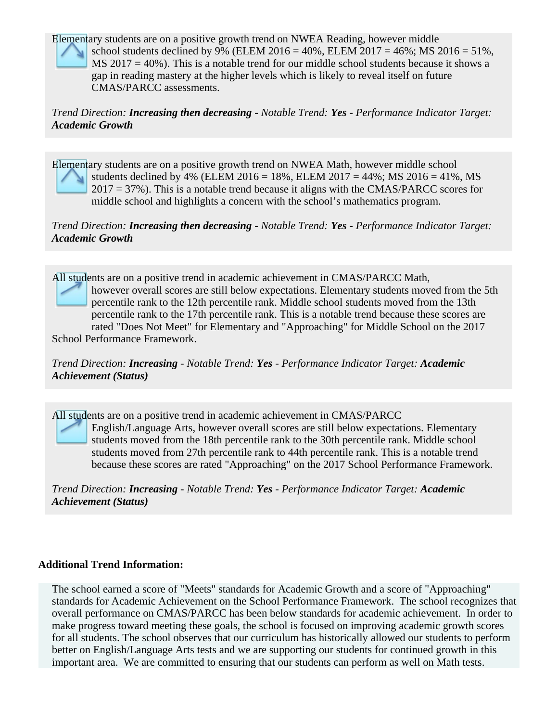Elementary students are on a positive growth trend on NWEA Reading, however middle

school students declined by 9% (ELEM 2016 = 40%, ELEM 2017 = 46%; MS 2016 = 51%,  $MS 2017 = 40\%$ ). This is a notable trend for our middle school students because it shows a gap in reading mastery at the higher levels which is likely to reveal itself on future

CMAS/PARCC assessments.

*Trend Direction: Increasing then decreasing - Notable Trend: Yes - Performance Indicator Target: Academic Growth*

Elementary students are on a positive growth trend on NWEA Math, however middle school students declined by 4% (ELEM 2016 = 18%, ELEM 2017 = 44%; MS 2016 = 41%, MS 2017 = 37%). This is a notable trend because it aligns with the CMAS/PARCC scores for middle school and highlights a concern with the school's mathematics program.

## *Trend Direction: Increasing then decreasing - Notable Trend: Yes - Performance Indicator Target: Academic Growth*

All students are on a positive trend in academic achievement in CMAS/PARCC Math, however overall scores are still below expectations. Elementary students moved from the 5th percentile rank to the 12th percentile rank. Middle school students moved from the 13th percentile rank to the 17th percentile rank. This is a notable trend because these scores are rated "Does Not Meet" for Elementary and "Approaching" for Middle School on the 2017 School Performance Framework.

*Trend Direction: Increasing - Notable Trend: Yes - Performance Indicator Target: Academic Achievement (Status)*

All students are on a positive trend in academic achievement in CMAS/PARCC English/Language Arts, however overall scores are still below expectations. Elementary students moved from the 18th percentile rank to the 30th percentile rank. Middle school students moved from 27th percentile rank to 44th percentile rank. This is a notable trend because these scores are rated "Approaching" on the 2017 School Performance Framework.

*Trend Direction: Increasing - Notable Trend: Yes - Performance Indicator Target: Academic Achievement (Status)*

## **Additional Trend Information:**

The school earned a score of "Meets" standards for Academic Growth and a score of "Approaching" standards for Academic Achievement on the School Performance Framework. The school recognizes that overall performance on CMAS/PARCC has been below standards for academic achievement. In order to make progress toward meeting these goals, the school is focused on improving academic growth scores for all students. The school observes that our curriculum has historically allowed our students to perform better on English/Language Arts tests and we are supporting our students for continued growth in this important area. We are committed to ensuring that our students can perform as well on Math tests.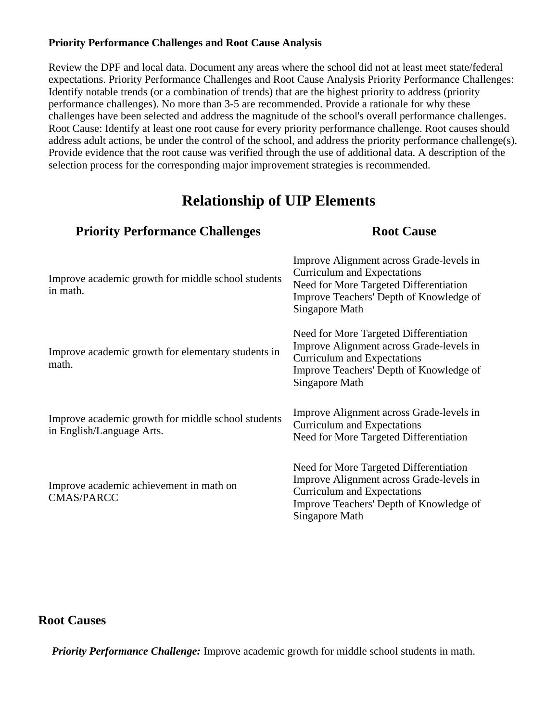## **Priority Performance Challenges and Root Cause Analysis**

Review the DPF and local data. Document any areas where the school did not at least meet state/federal expectations. Priority Performance Challenges and Root Cause Analysis Priority Performance Challenges: Identify notable trends (or a combination of trends) that are the highest priority to address (priority performance challenges). No more than 3-5 are recommended. Provide a rationale for why these challenges have been selected and address the magnitude of the school's overall performance challenges. Root Cause: Identify at least one root cause for every priority performance challenge. Root causes should address adult actions, be under the control of the school, and address the priority performance challenge(s). Provide evidence that the root cause was verified through the use of additional data. A description of the selection process for the corresponding major improvement strategies is recommended.

# **Relationship of UIP Elements**

| <b>Priority Performance Challenges</b>                                          | <b>Root Cause</b>                                                                                                                                                                     |
|---------------------------------------------------------------------------------|---------------------------------------------------------------------------------------------------------------------------------------------------------------------------------------|
| Improve academic growth for middle school students<br>in math.                  | Improve Alignment across Grade-levels in<br>Curriculum and Expectations<br>Need for More Targeted Differentiation<br>Improve Teachers' Depth of Knowledge of<br>Singapore Math        |
| Improve academic growth for elementary students in<br>math.                     | Need for More Targeted Differentiation<br>Improve Alignment across Grade-levels in<br>Curriculum and Expectations<br>Improve Teachers' Depth of Knowledge of<br>Singapore Math        |
| Improve academic growth for middle school students<br>in English/Language Arts. | Improve Alignment across Grade-levels in<br><b>Curriculum and Expectations</b><br>Need for More Targeted Differentiation                                                              |
| Improve academic achievement in math on<br><b>CMAS/PARCC</b>                    | Need for More Targeted Differentiation<br>Improve Alignment across Grade-levels in<br><b>Curriculum and Expectations</b><br>Improve Teachers' Depth of Knowledge of<br>Singapore Math |

# **Root Causes**

*Priority Performance Challenge:* Improve academic growth for middle school students in math.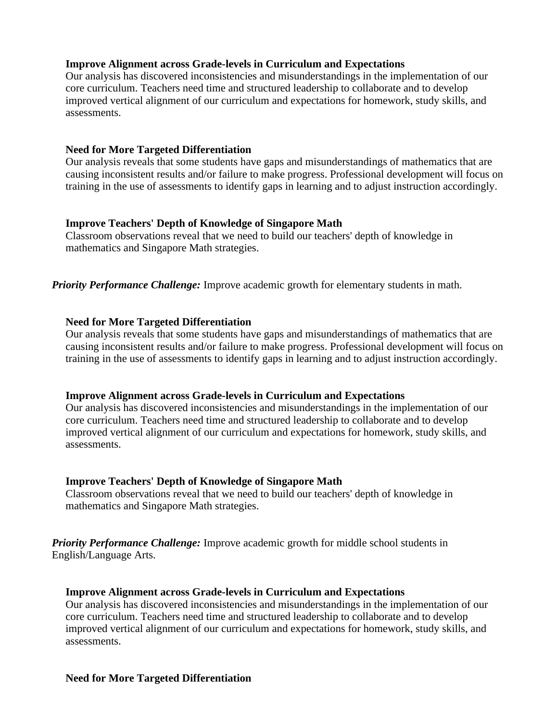#### **Improve Alignment across Grade-levels in Curriculum and Expectations**

Our analysis has discovered inconsistencies and misunderstandings in the implementation of our core curriculum. Teachers need time and structured leadership to collaborate and to develop improved vertical alignment of our curriculum and expectations for homework, study skills, and assessments.

#### **Need for More Targeted Differentiation**

Our analysis reveals that some students have gaps and misunderstandings of mathematics that are causing inconsistent results and/or failure to make progress. Professional development will focus on training in the use of assessments to identify gaps in learning and to adjust instruction accordingly.

#### **Improve Teachers' Depth of Knowledge of Singapore Math**

Classroom observations reveal that we need to build our teachers' depth of knowledge in mathematics and Singapore Math strategies.

*Priority Performance Challenge:* Improve academic growth for elementary students in math.

#### **Need for More Targeted Differentiation**

Our analysis reveals that some students have gaps and misunderstandings of mathematics that are causing inconsistent results and/or failure to make progress. Professional development will focus on training in the use of assessments to identify gaps in learning and to adjust instruction accordingly.

#### **Improve Alignment across Grade-levels in Curriculum and Expectations**

Our analysis has discovered inconsistencies and misunderstandings in the implementation of our core curriculum. Teachers need time and structured leadership to collaborate and to develop improved vertical alignment of our curriculum and expectations for homework, study skills, and assessments.

#### **Improve Teachers' Depth of Knowledge of Singapore Math**

Classroom observations reveal that we need to build our teachers' depth of knowledge in mathematics and Singapore Math strategies.

*Priority Performance Challenge:* Improve academic growth for middle school students in English/Language Arts.

#### **Improve Alignment across Grade-levels in Curriculum and Expectations**

Our analysis has discovered inconsistencies and misunderstandings in the implementation of our core curriculum. Teachers need time and structured leadership to collaborate and to develop improved vertical alignment of our curriculum and expectations for homework, study skills, and assessments.

#### **Need for More Targeted Differentiation**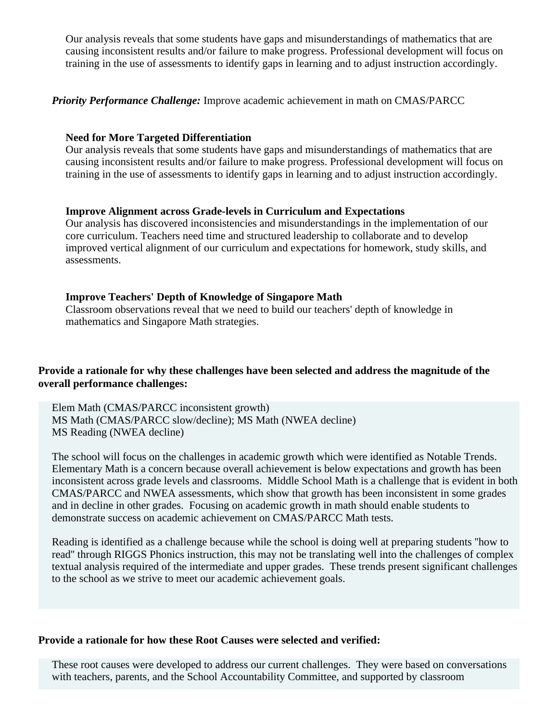Our analysis reveals that some students have gaps and misunderstandings of mathematics that are causing inconsistent results and/or failure to make progress. Professional development will focus on training in the use of assessments to identify gaps in learning and to adjust instruction accordingly.

*Priority Performance Challenge:* Improve academic achievement in math on CMAS/PARCC

## **Need for More Targeted Differentiation**

Our analysis reveals that some students have gaps and misunderstandings of mathematics that are causing inconsistent results and/or failure to make progress. Professional development will focus on training in the use of assessments to identify gaps in learning and to adjust instruction accordingly.

## **Improve Alignment across Grade-levels in Curriculum and Expectations**

Our analysis has discovered inconsistencies and misunderstandings in the implementation of our core curriculum. Teachers need time and structured leadership to collaborate and to develop improved vertical alignment of our curriculum and expectations for homework, study skills, and assessments.

## **Improve Teachers' Depth of Knowledge of Singapore Math**

Classroom observations reveal that we need to build our teachers' depth of knowledge in mathematics and Singapore Math strategies.

## **Provide a rationale for why these challenges have been selected and address the magnitude of the overall performance challenges:**

Elem Math (CMAS/PARCC inconsistent growth) MS Math (CMAS/PARCC slow/decline); MS Math (NWEA decline) MS Reading (NWEA decline)

The school will focus on the challenges in academic growth which were identified as Notable Trends. Elementary Math is a concern because overall achievement is below expectations and growth has been inconsistent across grade levels and classrooms. Middle School Math is a challenge that is evident in both CMAS/PARCC and NWEA assessments, which show that growth has been inconsistent in some grades and in decline in other grades. Focusing on academic growth in math should enable students to demonstrate success on academic achievement on CMAS/PARCC Math tests.

Reading is identified as a challenge because while the school is doing well at preparing students ''how to read'' through RIGGS Phonics instruction, this may not be translating well into the challenges of complex textual analysis required of the intermediate and upper grades. These trends present significant challenges to the school as we strive to meet our academic achievement goals.

#### **Provide a rationale for how these Root Causes were selected and verified:**

These root causes were developed to address our current challenges. They were based on conversations with teachers, parents, and the School Accountability Committee, and supported by classroom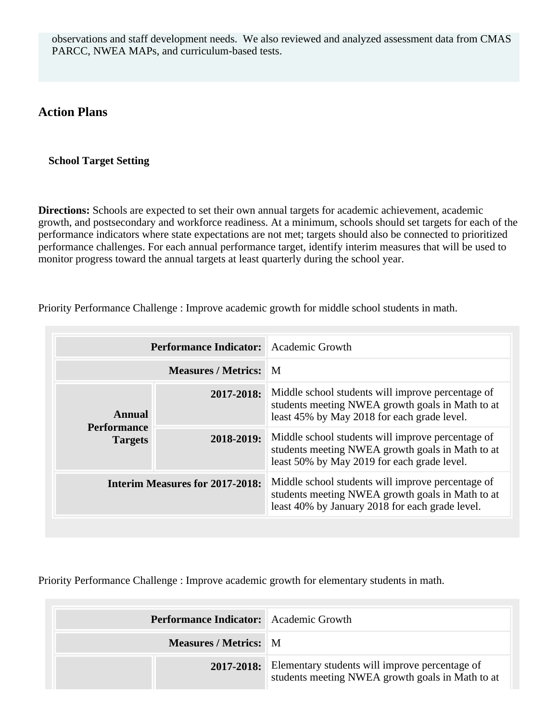observations and staff development needs. We also reviewed and analyzed assessment data from CMAS PARCC, NWEA MAPs, and curriculum-based tests.

# **Action Plans**

#### **School Target Setting**

**Directions:** Schools are expected to set their own annual targets for academic achievement, academic growth, and postsecondary and workforce readiness. At a minimum, schools should set targets for each of the performance indicators where state expectations are not met; targets should also be connected to prioritized performance challenges. For each annual performance target, identify interim measures that will be used to monitor progress toward the annual targets at least quarterly during the school year.

Priority Performance Challenge : Improve academic growth for middle school students in math.

|                                      | <b>Performance Indicator:</b> | Academic Growth                                                                                                                                          |
|--------------------------------------|-------------------------------|----------------------------------------------------------------------------------------------------------------------------------------------------------|
|                                      | <b>Measures / Metrics:</b>    | $\blacksquare$                                                                                                                                           |
| Annual                               | 2017-2018:                    | Middle school students will improve percentage of<br>students meeting NWEA growth goals in Math to at<br>least 45% by May 2018 for each grade level.     |
| <b>Performance</b><br><b>Targets</b> | 2018-2019:                    | Middle school students will improve percentage of<br>students meeting NWEA growth goals in Math to at<br>least 50% by May 2019 for each grade level.     |
| Interim Measures for 2017-2018:      |                               | Middle school students will improve percentage of<br>students meeting NWEA growth goals in Math to at<br>least 40% by January 2018 for each grade level. |

Priority Performance Challenge : Improve academic growth for elementary students in math.

| <b>Performance Indicator:</b> Academic Growth |                                                                                                               |
|-----------------------------------------------|---------------------------------------------------------------------------------------------------------------|
| <b>Measures / Metrics:</b> M                  |                                                                                                               |
|                                               | 2017-2018: Elementary students will improve percentage of<br>students meeting NWEA growth goals in Math to at |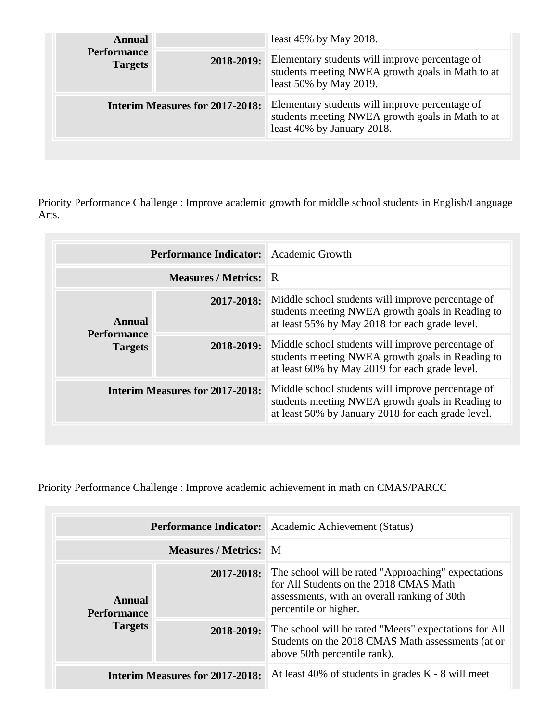| Annual<br><b>Performance</b><br><b>Targets</b> |            | least $45\%$ by May 2018.                                                                                                        |
|------------------------------------------------|------------|----------------------------------------------------------------------------------------------------------------------------------|
|                                                | 2018-2019: | Elementary students will improve percentage of<br>students meeting NWEA growth goals in Math to at<br>least 50% by May 2019.     |
| <b>Interim Measures for 2017-2018:</b>         |            | Elementary students will improve percentage of<br>students meeting NWEA growth goals in Math to at<br>least 40% by January 2018. |
|                                                |            |                                                                                                                                  |

Priority Performance Challenge : Improve academic growth for middle school students in English/Language Arts.

| <b>Performance Indicator:</b> Academic Growth |                            |                                                                                                                                                             |
|-----------------------------------------------|----------------------------|-------------------------------------------------------------------------------------------------------------------------------------------------------------|
|                                               | <b>Measures / Metrics:</b> | ∣R.                                                                                                                                                         |
| Annual<br><b>Performance</b>                  | 2017-2018:                 | Middle school students will improve percentage of<br>students meeting NWEA growth goals in Reading to<br>at least 55% by May 2018 for each grade level.     |
| <b>Targets</b>                                | 2018-2019:                 | Middle school students will improve percentage of<br>students meeting NWEA growth goals in Reading to<br>at least 60% by May 2019 for each grade level.     |
| <b>Interim Measures for 2017-2018:</b>        |                            | Middle school students will improve percentage of<br>students meeting NWEA growth goals in Reading to<br>at least 50% by January 2018 for each grade level. |

Priority Performance Challenge : Improve academic achievement in math on CMAS/PARCC

|                                        | <b>Performance Indicator:</b> | Academic Achievement (Status)                                                                                                                                          |
|----------------------------------------|-------------------------------|------------------------------------------------------------------------------------------------------------------------------------------------------------------------|
|                                        | <b>Measures / Metrics: M</b>  |                                                                                                                                                                        |
| Annual<br><b>Performance</b>           | 2017-2018:                    | The school will be rated "Approaching" expectations<br>for All Students on the 2018 CMAS Math<br>assessments, with an overall ranking of 30th<br>percentile or higher. |
| <b>Targets</b>                         | 2018-2019:                    | The school will be rated "Meets" expectations for All<br>Students on the 2018 CMAS Math assessments (at or<br>above 50th percentile rank).                             |
| <b>Interim Measures for 2017-2018:</b> |                               | At least 40% of students in grades $K - 8$ will meet                                                                                                                   |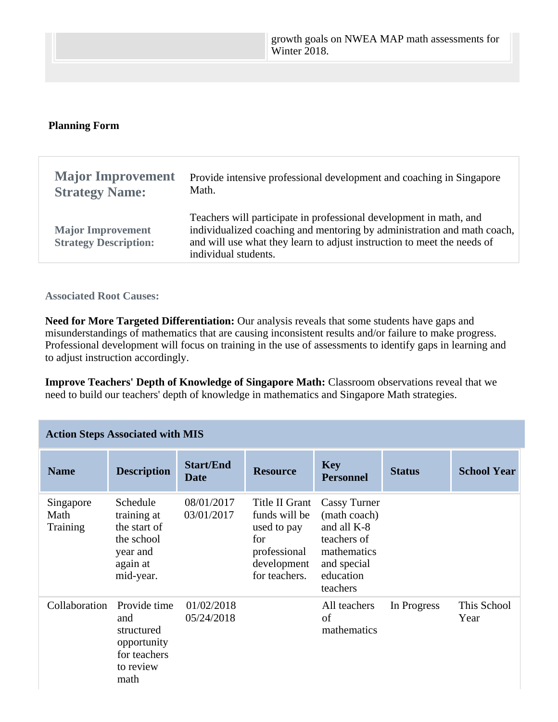#### **Planning Form**

| <b>Major Improvement</b>                                 | Provide intensive professional development and coaching in Singapore                                                                                                                                                                             |
|----------------------------------------------------------|--------------------------------------------------------------------------------------------------------------------------------------------------------------------------------------------------------------------------------------------------|
| <b>Strategy Name:</b>                                    | Math.                                                                                                                                                                                                                                            |
| <b>Major Improvement</b><br><b>Strategy Description:</b> | Teachers will participate in professional development in math, and<br>individualized coaching and mentoring by administration and math coach,<br>and will use what they learn to adjust instruction to meet the needs of<br>individual students. |

#### **Associated Root Causes:**

**Need for More Targeted Differentiation:** Our analysis reveals that some students have gaps and misunderstandings of mathematics that are causing inconsistent results and/or failure to make progress. Professional development will focus on training in the use of assessments to identify gaps in learning and to adjust instruction accordingly.

**Improve Teachers' Depth of Knowledge of Singapore Math:** Classroom observations reveal that we need to build our teachers' depth of knowledge in mathematics and Singapore Math strategies.

| <b>Action Steps Associated with MIS</b> |                                                                                            |                                 |                                                                                                       |                                                                                                                          |               |                     |  |
|-----------------------------------------|--------------------------------------------------------------------------------------------|---------------------------------|-------------------------------------------------------------------------------------------------------|--------------------------------------------------------------------------------------------------------------------------|---------------|---------------------|--|
| <b>Name</b>                             | <b>Description</b>                                                                         | <b>Start/End</b><br><b>Date</b> | <b>Resource</b>                                                                                       | <b>Key</b><br><b>Personnel</b>                                                                                           | <b>Status</b> | <b>School Year</b>  |  |
| Singapore<br>Math<br>Training           | Schedule<br>training at<br>the start of<br>the school<br>year and<br>again at<br>mid-year. | 08/01/2017<br>03/01/2017        | Title II Grant<br>funds will be<br>used to pay<br>for<br>professional<br>development<br>for teachers. | <b>Cassy Turner</b><br>(math coach)<br>and all K-8<br>teachers of<br>mathematics<br>and special<br>education<br>teachers |               |                     |  |
| Collaboration                           | Provide time<br>and<br>structured<br>opportunity<br>for teachers<br>to review<br>math      | 01/02/2018<br>05/24/2018        |                                                                                                       | All teachers<br>of<br>mathematics                                                                                        | In Progress   | This School<br>Year |  |

# **Action Steps Associated with MIS**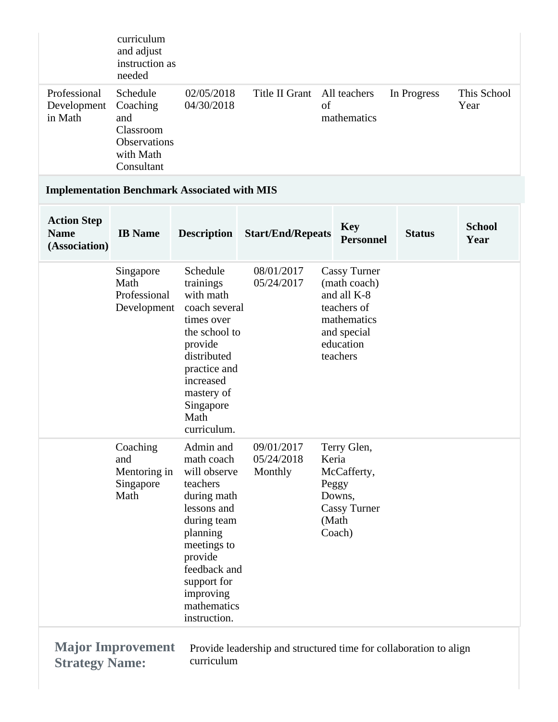|                                                    | curriculum<br>and adjust<br>instruction as<br>needed                                |                                                                                                                                                                                                                   |                                                                   |                                                                           |                                                    |               |                       |
|----------------------------------------------------|-------------------------------------------------------------------------------------|-------------------------------------------------------------------------------------------------------------------------------------------------------------------------------------------------------------------|-------------------------------------------------------------------|---------------------------------------------------------------------------|----------------------------------------------------|---------------|-----------------------|
| Professional<br>Development<br>in Math             | Schedule<br>Coaching<br>and<br>Classroom<br>Observations<br>with Math<br>Consultant | 02/05/2018<br>04/30/2018                                                                                                                                                                                          | Title II Grant                                                    | All teachers<br>of                                                        | mathematics                                        | In Progress   | This School<br>Year   |
|                                                    |                                                                                     | <b>Implementation Benchmark Associated with MIS</b>                                                                                                                                                               |                                                                   |                                                                           |                                                    |               |                       |
| <b>Action Step</b><br><b>Name</b><br>(Association) | <b>IB</b> Name                                                                      | <b>Description</b>                                                                                                                                                                                                | <b>Start/End/Repeats</b>                                          |                                                                           | <b>Key</b><br><b>Personnel</b>                     | <b>Status</b> | <b>School</b><br>Year |
|                                                    | Singapore<br>Math<br>Professional<br>Development                                    | Schedule<br>trainings<br>with math<br>coach several<br>times over<br>the school to<br>provide<br>distributed<br>practice and<br>increased<br>mastery of<br>Singapore<br>Math<br>curriculum.                       | 08/01/2017<br>05/24/2017                                          | and all K-8<br>teachers of<br>and special<br>education<br>teachers        | <b>Cassy Turner</b><br>(math coach)<br>mathematics |               |                       |
|                                                    | Coaching<br>and<br>Mentoring in<br>Singapore<br>Math                                | Admin and<br>math coach<br>will observe<br>teachers<br>during math<br>lessons and<br>during team<br>planning<br>meetings to<br>provide<br>feedback and<br>support for<br>improving<br>mathematics<br>instruction. | 09/01/2017<br>05/24/2018<br>Monthly                               | Terry Glen,<br>Keria<br>McCafferty,<br>Peggy<br>Downs,<br>(Math<br>Coach) | <b>Cassy Turner</b>                                |               |                       |
| <b>Strategy Name:</b>                              | <b>Major Improvement</b>                                                            | curriculum                                                                                                                                                                                                        | Provide leadership and structured time for collaboration to align |                                                                           |                                                    |               |                       |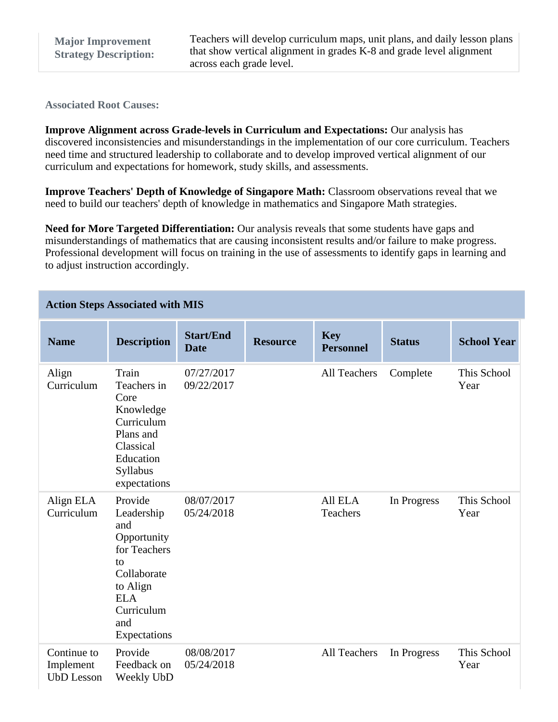**Associated Root Causes:**

**Improve Alignment across Grade-levels in Curriculum and Expectations:** Our analysis has discovered inconsistencies and misunderstandings in the implementation of our core curriculum. Teachers need time and structured leadership to collaborate and to develop improved vertical alignment of our curriculum and expectations for homework, study skills, and assessments.

**Improve Teachers' Depth of Knowledge of Singapore Math:** Classroom observations reveal that we need to build our teachers' depth of knowledge in mathematics and Singapore Math strategies.

**Need for More Targeted Differentiation:** Our analysis reveals that some students have gaps and misunderstandings of mathematics that are causing inconsistent results and/or failure to make progress. Professional development will focus on training in the use of assessments to identify gaps in learning and to adjust instruction accordingly.

| <b>Action Steps Associated with MIS</b> |  |  |  |
|-----------------------------------------|--|--|--|
|-----------------------------------------|--|--|--|

| <b>Name</b>                                   | <b>Description</b>                                                                                                                              | <b>Start/End</b><br><b>Date</b> | <b>Resource</b> | <b>Key</b><br><b>Personnel</b> | <b>Status</b> | <b>School Year</b>  |
|-----------------------------------------------|-------------------------------------------------------------------------------------------------------------------------------------------------|---------------------------------|-----------------|--------------------------------|---------------|---------------------|
| Align<br>Curriculum                           | Train<br>Teachers in<br>Core<br>Knowledge<br>Curriculum<br>Plans and<br>Classical<br>Education<br>Syllabus<br>expectations                      | 07/27/2017<br>09/22/2017        |                 | All Teachers                   | Complete      | This School<br>Year |
| Align ELA<br>Curriculum                       | Provide<br>Leadership<br>and<br>Opportunity<br>for Teachers<br>to<br>Collaborate<br>to Align<br><b>ELA</b><br>Curriculum<br>and<br>Expectations | 08/07/2017<br>05/24/2018        |                 | All ELA<br>Teachers            | In Progress   | This School<br>Year |
| Continue to<br>Implement<br><b>UbD</b> Lesson | Provide<br>Feedback on<br>Weekly UbD                                                                                                            | 08/08/2017<br>05/24/2018        |                 | All Teachers                   | In Progress   | This School<br>Year |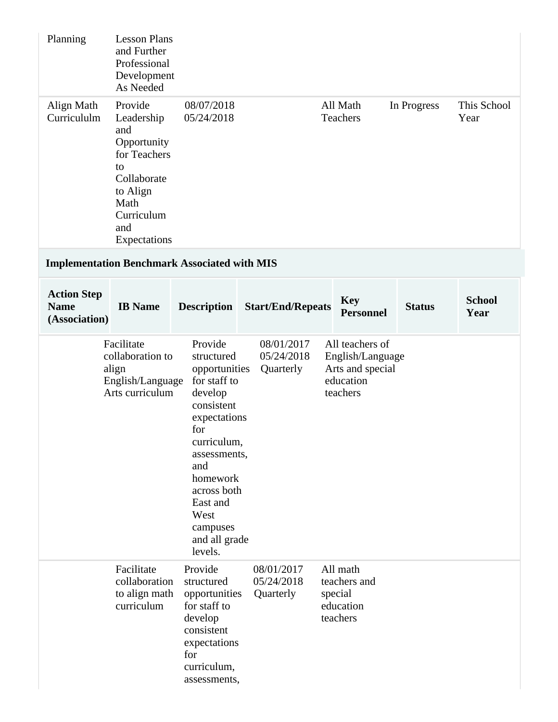| Planning                                           | <b>Lesson Plans</b><br>and Further<br>Professional<br>Development<br>As Needed                                                            |                                                                                                                                                                                                                                     |                                       |                     |                                                                                  |               |                       |
|----------------------------------------------------|-------------------------------------------------------------------------------------------------------------------------------------------|-------------------------------------------------------------------------------------------------------------------------------------------------------------------------------------------------------------------------------------|---------------------------------------|---------------------|----------------------------------------------------------------------------------|---------------|-----------------------|
| Align Math<br>Curricululm                          | Provide<br>Leadership<br>and<br>Opportunity<br>for Teachers<br>to<br>Collaborate<br>to Align<br>Math<br>Curriculum<br>and<br>Expectations | 08/07/2018<br>05/24/2018                                                                                                                                                                                                            |                                       |                     | All Math<br>Teachers                                                             | In Progress   | This School<br>Year   |
|                                                    |                                                                                                                                           | <b>Implementation Benchmark Associated with MIS</b>                                                                                                                                                                                 |                                       |                     |                                                                                  |               |                       |
| <b>Action Step</b><br><b>Name</b><br>(Association) | <b>IB</b> Name                                                                                                                            | <b>Description</b>                                                                                                                                                                                                                  | <b>Start/End/Repeats</b>              |                     | <b>Key</b><br><b>Personnel</b>                                                   | <b>Status</b> | <b>School</b><br>Year |
|                                                    | Facilitate<br>collaboration to<br>align<br>English/Language<br>Arts curriculum                                                            | Provide<br>structured<br>opportunities<br>for staff to<br>develop<br>consistent<br>expectations<br>for<br>curriculum,<br>assessments,<br>and<br>homework<br>across both<br>East and<br>West<br>campuses<br>and all grade<br>levels. | 08/01/2017<br>05/24/2018<br>Quarterly |                     | All teachers of<br>English/Language<br>Arts and special<br>education<br>teachers |               |                       |
|                                                    | Facilitate<br>collaboration<br>to align math<br>curriculum                                                                                | Provide<br>structured<br>opportunities<br>for staff to<br>develop<br>consistent<br>expectations<br>for<br>curriculum,<br>assessments,                                                                                               | 08/01/2017<br>05/24/2018<br>Quarterly | special<br>teachers | All math<br>teachers and<br>education                                            |               |                       |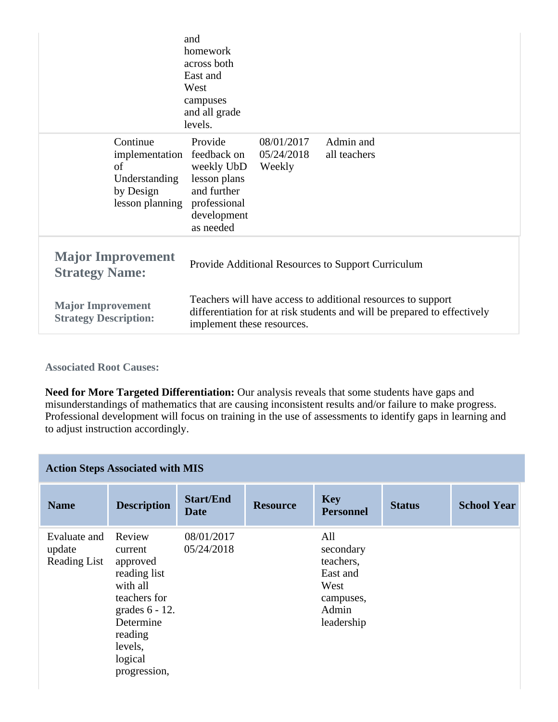|                                                                                   | and<br>homework<br>across both<br>East and<br>West<br>campuses<br>and all grade<br>levels.                                                                             |                                    |                           |  |  |
|-----------------------------------------------------------------------------------|------------------------------------------------------------------------------------------------------------------------------------------------------------------------|------------------------------------|---------------------------|--|--|
| Continue<br>implementation<br>of<br>Understanding<br>by Design<br>lesson planning | Provide<br>feedback on<br>weekly UbD<br>lesson plans<br>and further<br>professional<br>development<br>as needed                                                        | 08/01/2017<br>05/24/2018<br>Weekly | Admin and<br>all teachers |  |  |
| <b>Major Improvement</b><br><b>Strategy Name:</b>                                 | Provide Additional Resources to Support Curriculum                                                                                                                     |                                    |                           |  |  |
| <b>Major Improvement</b><br><b>Strategy Description:</b>                          | Teachers will have access to additional resources to support<br>differentiation for at risk students and will be prepared to effectively<br>implement these resources. |                                    |                           |  |  |

**Associated Root Causes:**

**Need for More Targeted Differentiation:** Our analysis reveals that some students have gaps and misunderstandings of mathematics that are causing inconsistent results and/or failure to make progress. Professional development will focus on training in the use of assessments to identify gaps in learning and to adjust instruction accordingly.

|  | <b>Action Steps Associated with MIS</b> |  |  |  |
|--|-----------------------------------------|--|--|--|
|--|-----------------------------------------|--|--|--|

| <b>Name</b>                                   | <b>Description</b>                                                                                                                                           | <b>Start/End</b><br><b>Date</b> | <b>Resource</b> | <b>Key</b><br><b>Personnel</b>                                                        | <b>Status</b> | <b>School Year</b> |
|-----------------------------------------------|--------------------------------------------------------------------------------------------------------------------------------------------------------------|---------------------------------|-----------------|---------------------------------------------------------------------------------------|---------------|--------------------|
| Evaluate and<br>update<br><b>Reading List</b> | Review<br>current<br>approved<br>reading list<br>with all<br>teachers for<br>grades $6 - 12$ .<br>Determine<br>reading<br>levels,<br>logical<br>progression, | 08/01/2017<br>05/24/2018        |                 | All<br>secondary<br>teachers,<br>East and<br>West<br>campuses,<br>Admin<br>leadership |               |                    |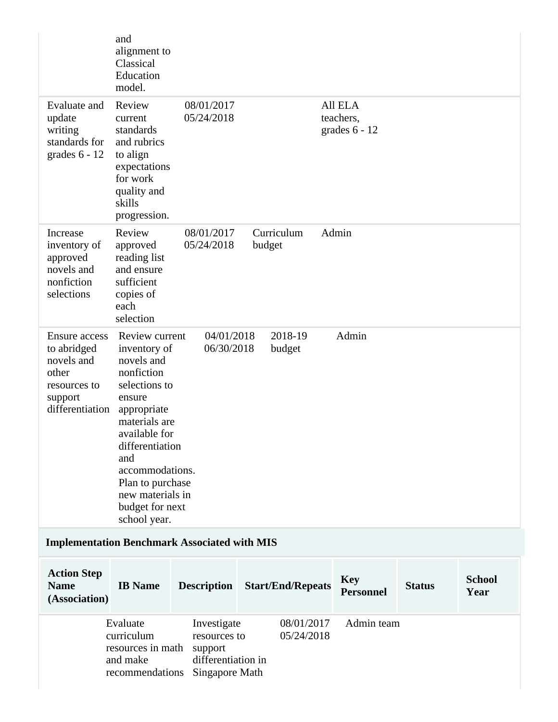|                                                                                                          | and<br>alignment to<br>Classical<br>Education<br>model.                                                                                                                                                                                                        |                                                                                |                          |                                         |               |                       |
|----------------------------------------------------------------------------------------------------------|----------------------------------------------------------------------------------------------------------------------------------------------------------------------------------------------------------------------------------------------------------------|--------------------------------------------------------------------------------|--------------------------|-----------------------------------------|---------------|-----------------------|
| Evaluate and<br>update<br>writing<br>standards for<br>grades $6 - 12$                                    | Review<br>current<br>standards<br>and rubrics<br>to align<br>expectations<br>for work<br>quality and<br>skills<br>progression.                                                                                                                                 | 08/01/2017<br>05/24/2018                                                       |                          | All ELA<br>teachers,<br>grades $6 - 12$ |               |                       |
| Increase<br>inventory of<br>approved<br>novels and<br>nonfiction<br>selections                           | Review<br>approved<br>reading list<br>and ensure<br>sufficient<br>copies of<br>each<br>selection                                                                                                                                                               | 08/01/2017<br>05/24/2018                                                       | Curriculum<br>budget     | Admin                                   |               |                       |
| <b>Ensure access</b><br>to abridged<br>novels and<br>other<br>resources to<br>support<br>differentiation | Review current<br>inventory of<br>novels and<br>nonfiction<br>selections to<br>ensure<br>appropriate<br>materials are<br>available for<br>differentiation<br>and<br>accommodations.<br>Plan to purchase<br>new materials in<br>budget for next<br>school year. | 04/01/2018<br>06/30/2018                                                       | 2018-19<br>budget        | Admin                                   |               |                       |
| <b>Implementation Benchmark Associated with MIS</b>                                                      |                                                                                                                                                                                                                                                                |                                                                                |                          |                                         |               |                       |
| <b>Action Step</b><br><b>Name</b><br>(Association)                                                       | <b>IB</b> Name                                                                                                                                                                                                                                                 | <b>Description</b>                                                             | <b>Start/End/Repeats</b> | <b>Key</b><br><b>Personnel</b>          | <b>Status</b> | <b>School</b><br>Year |
|                                                                                                          | Evaluate<br>curriculum<br>resources in math<br>and make<br>recommendations                                                                                                                                                                                     | Investigate<br>resources to<br>support<br>differentiation in<br>Singapore Math | 08/01/2017<br>05/24/2018 | Admin team                              |               |                       |